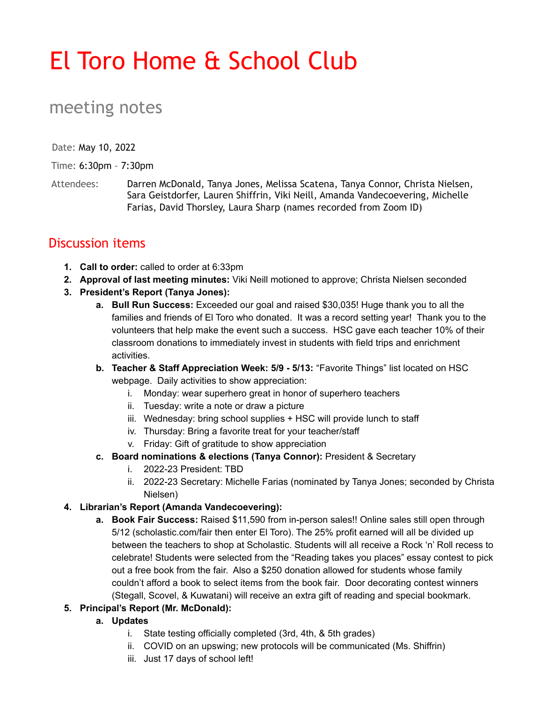# El Toro Home & School Club

## meeting notes

Date: May 10, 2022

Time: 6:30pm – 7:30pm

Attendees: Darren McDonald, Tanya Jones, Melissa Scatena, Tanya Connor, Christa Nielsen, Sara Geistdorfer, Lauren Shiffrin, Viki Neill, Amanda Vandecoevering, Michelle Farias, David Thorsley, Laura Sharp (names recorded from Zoom ID)

### Discussion items

- **1. Call to order:** called to order at 6:33pm
- **2. Approval of last meeting minutes:** Viki Neill motioned to approve; Christa Nielsen seconded
- **3. President's Report (Tanya Jones):**
	- **a. Bull Run Success:** Exceeded our goal and raised \$30,035! Huge thank you to all the families and friends of El Toro who donated. It was a record setting year! Thank you to the volunteers that help make the event such a success. HSC gave each teacher 10% of their classroom donations to immediately invest in students with field trips and enrichment activities.
	- **b. Teacher & Staff Appreciation Week: 5/9 5/13:** "Favorite Things" list located on HSC webpage. Daily activities to show appreciation:
		- i. Monday: wear superhero great in honor of superhero teachers
		- ii. Tuesday: write a note or draw a picture
		- $iii.$  Wednesday: bring school supplies  $+$  HSC will provide lunch to staff
		- iv. Thursday: Bring a favorite treat for your teacher/staff
		- v. Friday: Gift of gratitude to show appreciation
	- **c. Board nominations & elections (Tanya Connor):** President & Secretary
		- i. 2022-23 President: TBD
		- ii. 2022-23 Secretary: Michelle Farias (nominated by Tanya Jones; seconded by Christa Nielsen)

#### **4. Librarian's Report (Amanda Vandecoevering):**

**a. Book Fair Success:** Raised \$11,590 from in-person sales!! Online sales still open through 5/12 (scholastic.com/fair then enter El Toro). The 25% profit earned will all be divided up between the teachers to shop at Scholastic. Students will all receive a Rock 'n' Roll recess to celebrate! Students were selected from the "Reading takes you places" essay contest to pick out a free book from the fair. Also a \$250 donation allowed for students whose family couldn't afford a book to select items from the book fair. Door decorating contest winners (Stegall, Scovel, & Kuwatani) will receive an extra gift of reading and special bookmark.

#### **5. Principal's Report (Mr. McDonald):**

- **a. Updates**
	- i. State testing officially completed (3rd, 4th, & 5th grades)
	- ii. COVID on an upswing; new protocols will be communicated (Ms. Shiffrin)
	- iii. Just 17 days of school left!